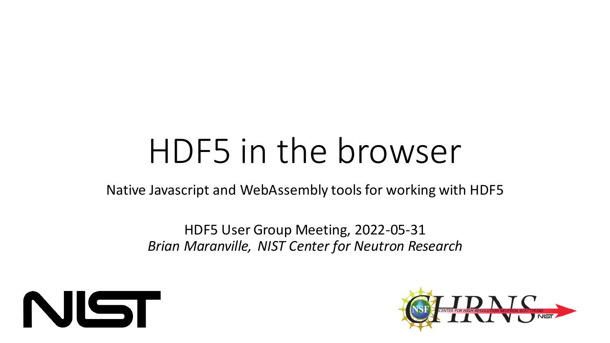# HDF5 in the browser

Native Javascript and WebAssembly tools for working with HDF5

HDF5 User Group Meeting, 2022-05-31 *Brian Maranville, NIST Center for Neutron Research*



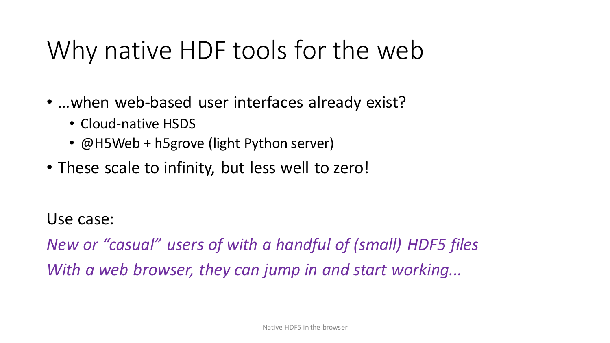## Why native HDF tools for the web

- …when web-based user interfaces already exist?
	- Cloud-native HSDS
	- @H5Web + h5grove (light Python server)
- These scale to infinity, but less well to zero!

Use case:

*New or "casual" users of with a handful of (small) HDF5 files With a web browser, they can jump in and start working...*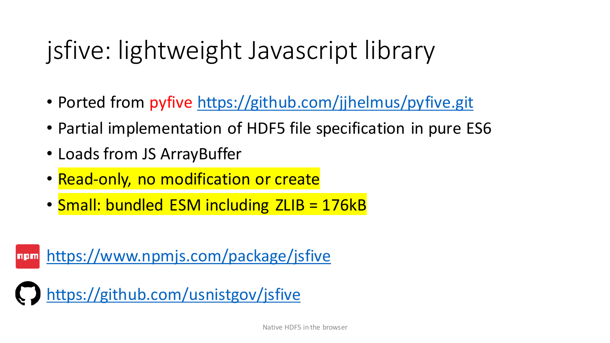# jsfive: lightweight Javascript library

- Ported from pyfive <https://github.com/jjhelmus/pyfive.git>
- Partial implementation of HDF5 file specification in pure ES6
- Loads from JS ArrayBuffer
- Read-only, no modification or create
- Small: bundled ESM including ZLIB = 176kB

<https://www.npmjs.com/package/jsfive> npm

<https://github.com/usnistgov/jsfive>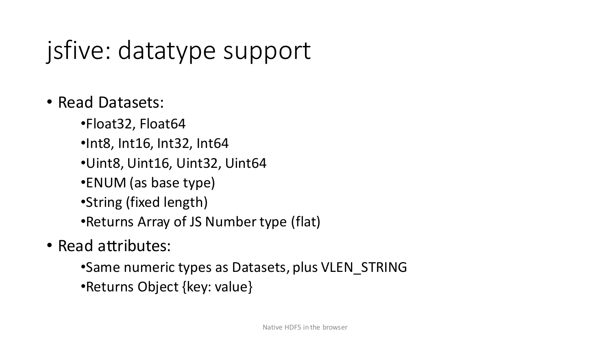# jsfive: datatype support

#### • Read Datasets:

- •Float32, Float64
- •Int8, Int16, Int32, Int64
- •Uint8, Uint16, Uint32, Uint64
- •ENUM (as base type)
- •String (fixed length)
- •Returns Array of JS Number type (flat)
- Read attributes:
	- •Same numeric types as Datasets, plus VLEN\_STRING
	- •Returns Object {key: value}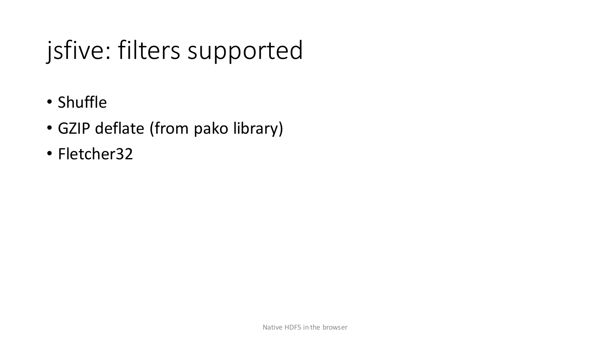# jsfive: filters supported

- Shuffle
- GZIP deflate (from pako library)
- Fletcher32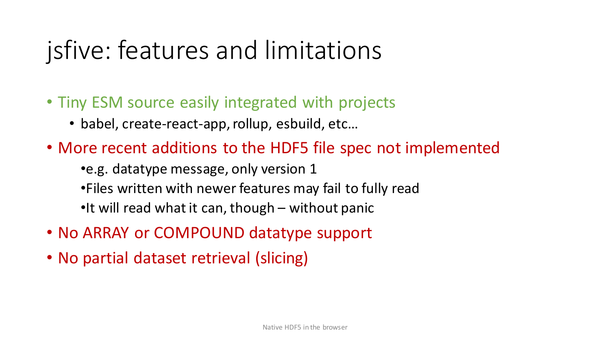# jsfive: features and limitations

- Tiny ESM source easily integrated with projects
	- babel, create-react-app, rollup, esbuild, etc…
- More recent additions to the HDF5 file spec not implemented •e.g. datatype message, only version 1 •Files written with newer features may fail to fully read •It will read what it can, though – without panic
- No ARRAY or COMPOUND datatype support
- No partial dataset retrieval (slicing)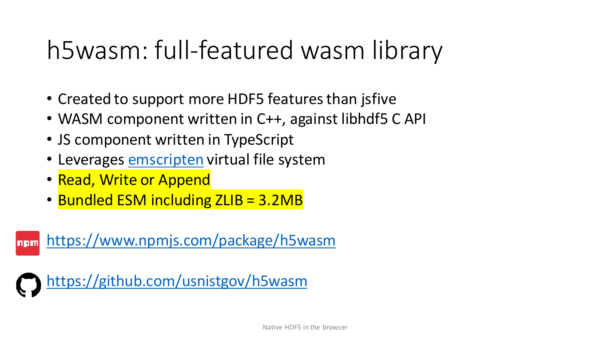## h5wasm: full-featured wasm library

- Created to support more HDF5 features than jsfive
- WASM component written in C++, against libhdf5 C API
- JS component written in TypeScript
- Leverages [emscripten](https://emscripten.org/) virtual file system
- Read, Write or Append
- Bundled ESM including ZLIB = 3.2MB

<https://www.npmjs.com/package/h5wasm> npm

<https://github.com/usnistgov/h5wasm>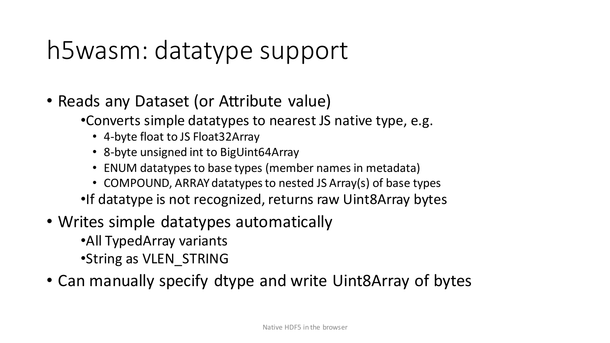# h5wasm: datatype support

- Reads any Dataset (or Attribute value)
	- •Converts simple datatypes to nearest JS native type, e.g.
		- 4-byte float to JS Float32Array
		- 8-byte unsigned int to BigUint64Array
		- ENUM datatypes to base types (member names in metadata)
	- COMPOUND, ARRAY datatypes to nested JS Array(s) of base types •If datatype is not recognized, returns raw Uint8Array bytes
- Writes simple datatypes automatically
	- •All TypedArray variants •String as VLEN\_STRING
- Can manually specify dtype and write Uint8Array of bytes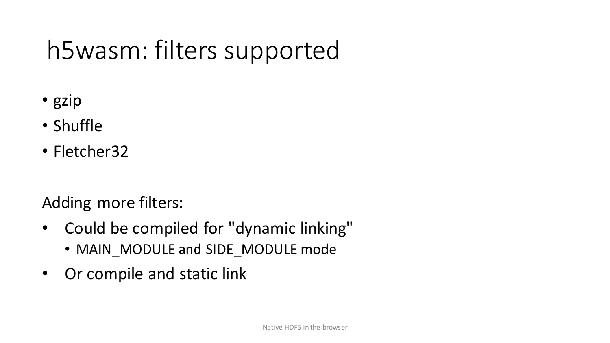# h5wasm: filters supported

- gzip
- Shuffle
- Fletcher32

Adding more filters:

- Could be compiled for "dynamic linking"
	- MAIN\_MODULE and SIDE\_MODULE mode
- Or compile and static link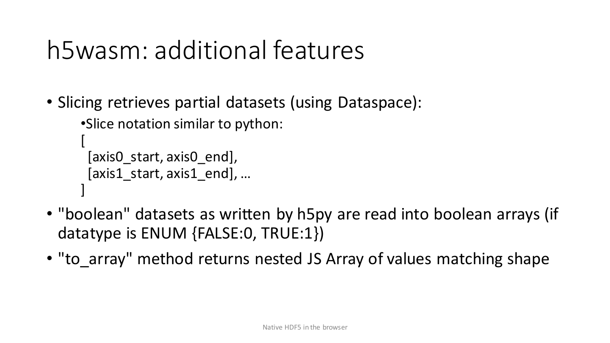## h5wasm: additional features

• Slicing retrieves partial datasets (using Dataspace):

```
•Slice notation similar to python:
```

```
[
 [axis0_start, axis0_end], 
[axis1_start, axis1_end], …
]
```
- "boolean" datasets as written by h5py are read into boolean arrays (if datatype is ENUM {FALSE:0, TRUE:1})
- "to array" method returns nested JS Array of values matching shape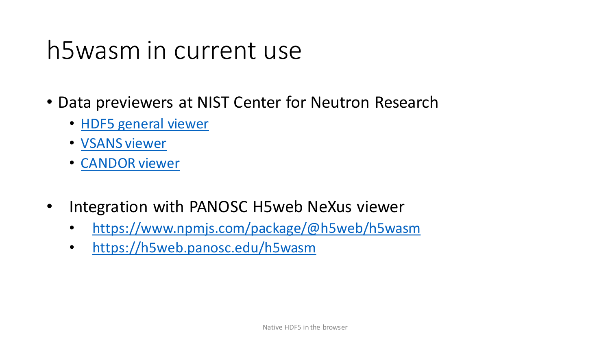#### h5wasm in current use

- Data previewers at NIST Center for Neutron Research
	- [HDF5 general viewer](https://ncnr.nist.gov/ncnrdata/view/nexus-hdf-viewer.html)
	- [VSANS viewer](https://ncnr.nist.gov/ncnrdata/view/vsansbrowser.html?path=ncnrdata/vsans/202009/27864/data)
	- [CANDOR viewer](https://ncnr.nist.gov/ncnrdata/view/candorbrowser.html?path=ncnrdata/candor/202009/27839/data)
- Integration with PANOSC H5web NeXus viewer
	- <https://www.npmjs.com/package/@h5web/h5wasm>
	- [https://h5web.panosc.edu/h5wasm](https://www.npmjs.com/package/@h5web/h5wasm)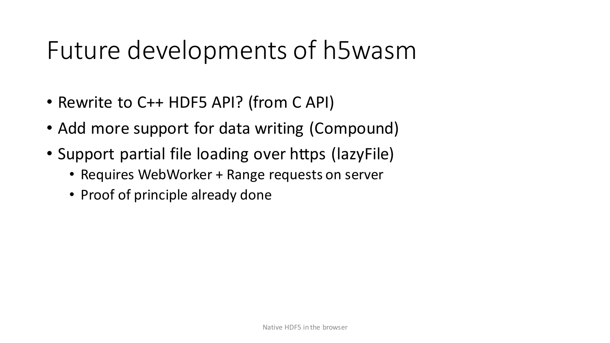#### Future developments of h5wasm

- Rewrite to C++ HDF5 API? (from C API)
- Add more support for data writing (Compound)
- Support partial file loading over https (lazyFile)
	- Requires WebWorker + Range requests on server
	- Proof of principle already done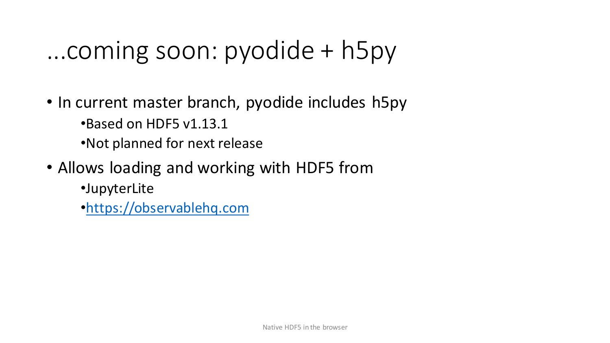#### ...coming soon: pyodide + h5py

- In current master branch, pyodide includes h5py •Based on HDF5 v1.13.1 •Not planned for next release
- Allows loading and working with HDF5 from
	- •JupyterLite
	- •<https://observablehq.com>